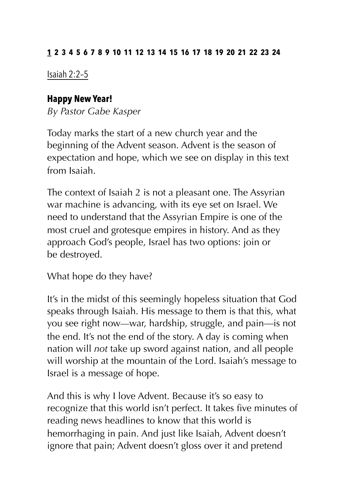#### **1 2 3 4 5 6 7 8 9 10 11 12 13 14 15 16 17 18 19 20 21 22 23 24**

Isaiah 2:2–5

### **Happy New Year!**

*By Pastor Gabe Kasper* 

Today marks the start of a new church year and the beginning of the Advent season. Advent is the season of expectation and hope, which we see on display in this text from Isaiah.

The context of Isaiah 2 is not a pleasant one. The Assyrian war machine is advancing, with its eye set on Israel. We need to understand that the Assyrian Empire is one of the most cruel and grotesque empires in history. And as they approach God's people, Israel has two options: join or be destroyed.

What hope do they have?

It's in the midst of this seemingly hopeless situation that God speaks through Isaiah. His message to them is that this, what you see right now—war, hardship, struggle, and pain—is not the end. It's not the end of the story. A day is coming when nation will *not* take up sword against nation, and all people will worship at the mountain of the Lord. Isaiah's message to Israel is a message of hope.

And this is why I love Advent. Because it's so easy to recognize that this world isn't perfect. It takes five minutes of reading news headlines to know that this world is hemorrhaging in pain. And just like Isaiah, Advent doesn't ignore that pain; Advent doesn't gloss over it and pretend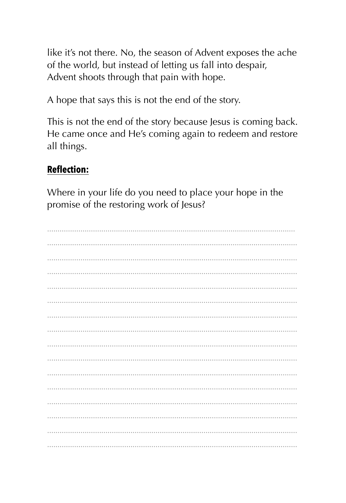like it's not there. No, the season of Advent exposes the ache of the world, but instead of letting us fall into despair, Advent shoots through that pain with hope.

A hope that says this is not the end of the story.

This is not the end of the story because Jesus is coming back. He came once and He's coming again to redeem and restore all things.

# **Reflection:**

Where in your life do you need to place your hope in the promise of the restoring work of Jesus?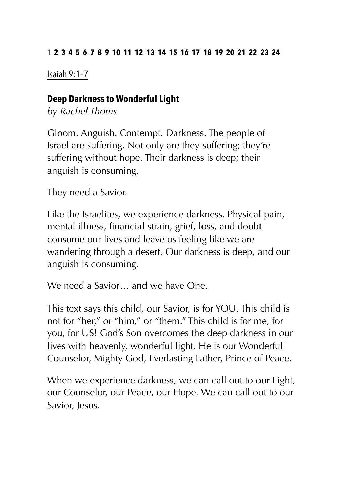#### 1 **2 3 4 5 6 7 8 9 10 11 12 13 14 15 16 17 18 19 20 21 22 23 24**

Isaiah 9:1–7

### **Deep Darkness to Wonderful Light**

*by Rachel Thoms* 

Gloom. Anguish. Contempt. Darkness. The people of Israel are suffering. Not only are they suffering; they're suffering without hope. Their darkness is deep; their anguish is consuming.

They need a Savior.

Like the Israelites, we experience darkness. Physical pain, mental illness, financial strain, grief, loss, and doubt consume our lives and leave us feeling like we are wandering through a desert. Our darkness is deep, and our anguish is consuming.

We need a Savior — and we have One.

This text says this child, our Savior, is for YOU. This child is not for "her," or "him," or "them." This child is for me, for you, for US! God's Son overcomes the deep darkness in our lives with heavenly, wonderful light. He is our Wonderful Counselor, Mighty God, Everlasting Father, Prince of Peace.

When we experience darkness, we can call out to our Light, our Counselor, our Peace, our Hope. We can call out to our Savior, Jesus.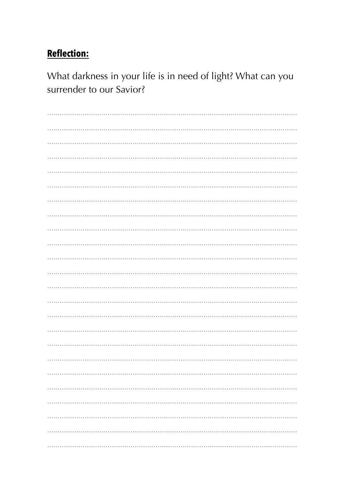What darkness in your life is in need of light? What can you surrender to our Savior?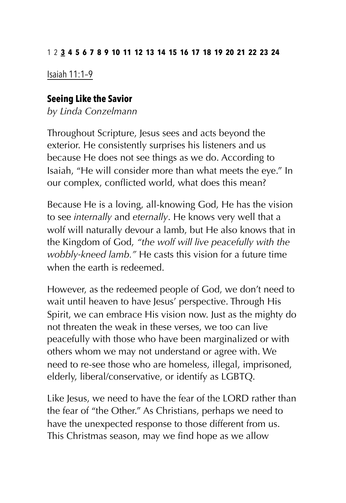#### 12 **3 4 5 6 7 8 9 10 11 12 13 14 15 16 17 18 19 20 21 22 23 24**

Isaiah 11:1–9

#### **Seeing Like the Savior**

*by Linda Conzelmann* 

Throughout Scripture, Jesus sees and acts beyond the exterior. He consistently surprises his listeners and us because He does not see things as we do. According to Isaiah, "He will consider more than what meets the eye." In our complex, conflicted world, what does this mean?

Because He is a loving, all-knowing God, He has the vision to see *internally* and *eternally*. He knows very well that a wolf will naturally devour a lamb, but He also knows that in the Kingdom of God, *"the wolf will live peacefully with the wobbly-kneed lamb."* He casts this vision for a future time when the earth is redeemed.

However, as the redeemed people of God, we don't need to wait until heaven to have Jesus' perspective. Through His Spirit, we can embrace His vision now. Just as the mighty do not threaten the weak in these verses, we too can live peacefully with those who have been marginalized or with others whom we may not understand or agree with. We need to re-see those who are homeless, illegal, imprisoned, elderly, liberal/conservative, or identify as LGBTQ.

Like Jesus, we need to have the fear of the LORD rather than the fear of "the Other." As Christians, perhaps we need to have the unexpected response to those different from us. This Christmas season, may we find hope as we allow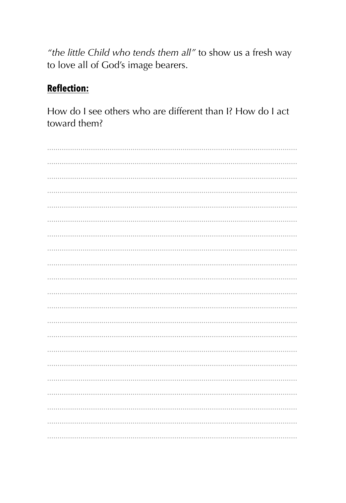"the little Child who tends them all" to show us a fresh way to love all of God's image bearers.

# **Reflection:**

How do I see others who are different than I? How do I act toward them?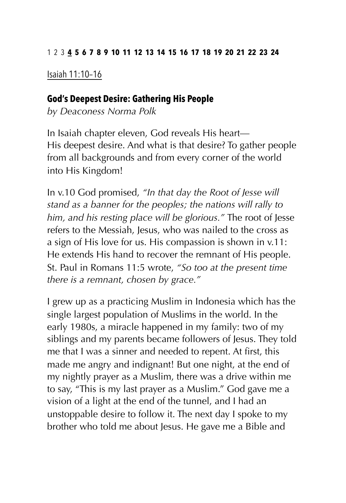#### 123 **4 5 6 7 8 9 10 11 12 13 14 15 16 17 18 19 20 21 22 23 24**

Isaiah 11:10–16

#### **God's Deepest Desire: Gathering His People**

*by Deaconess Norma Polk* 

In Isaiah chapter eleven, God reveals His heart— His deepest desire. And what is that desire? To gather people from all backgrounds and from every corner of the world into His Kingdom!

In v.10 God promised, *"In that day the Root of Jesse will stand as a banner for the peoples; the nations will rally to him, and his resting place will be glorious."* The root of Jesse refers to the Messiah, Jesus, who was nailed to the cross as a sign of His love for us. His compassion is shown in v.11: He extends His hand to recover the remnant of His people. St. Paul in Romans 11:5 wrote, *"So too at the present time there is a remnant, chosen by grace."* 

I grew up as a practicing Muslim in Indonesia which has the single largest population of Muslims in the world. In the early 1980s, a miracle happened in my family: two of my siblings and my parents became followers of Jesus. They told me that I was a sinner and needed to repent. At first, this made me angry and indignant! But one night, at the end of my nightly prayer as a Muslim, there was a drive within me to say, "This is my last prayer as a Muslim." God gave me a vision of a light at the end of the tunnel, and I had an unstoppable desire to follow it. The next day I spoke to my brother who told me about Jesus. He gave me a Bible and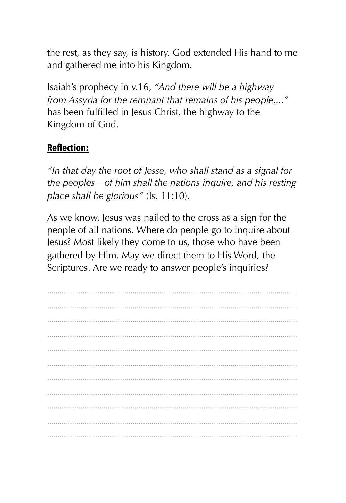the rest, as they say, is history. God extended His hand to me and gathered me into his Kingdom.

Isaiah's prophecy in v.16, "And there will be a highway from Assyria for the remnant that remains of his people...." has been fulfilled in Jesus Christ, the highway to the Kingdom of God.

# **Reflection:**

"In that day the root of Jesse, who shall stand as a signal for the peoples  $-$  of him shall the nations inquire, and his resting place shall be glorious" (Is. 11:10).

As we know, Jesus was nailed to the cross as a sign for the people of all nations. Where do people go to inquire about Jesus? Most likely they come to us, those who have been gathered by Him. May we direct them to His Word, the Scriptures. Are we ready to answer people's inquiries?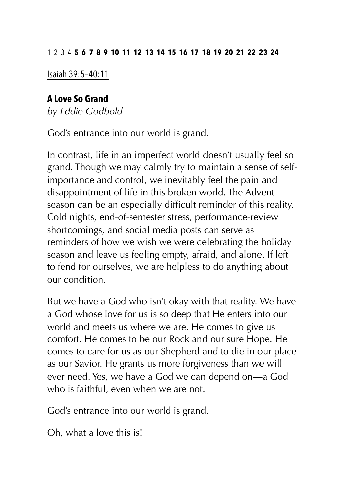Isaiah 39:5–40:11

## **A Love So Grand**

*by Eddie Godbold* 

God's entrance into our world is grand.

In contrast, life in an imperfect world doesn't usually feel so grand. Though we may calmly try to maintain a sense of selfimportance and control, we inevitably feel the pain and disappointment of life in this broken world. The Advent season can be an especially difficult reminder of this reality. Cold nights, end-of-semester stress, performance-review shortcomings, and social media posts can serve as reminders of how we wish we were celebrating the holiday season and leave us feeling empty, afraid, and alone. If left to fend for ourselves, we are helpless to do anything about our condition.

But we have a God who isn't okay with that reality. We have a God whose love for us is so deep that He enters into our world and meets us where we are. He comes to give us comfort. He comes to be our Rock and our sure Hope. He comes to care for us as our Shepherd and to die in our place as our Savior. He grants us more forgiveness than we will ever need. Yes, we have a God we can depend on—a God who is faithful, even when we are not.

God's entrance into our world is grand.

Oh, what a love this is!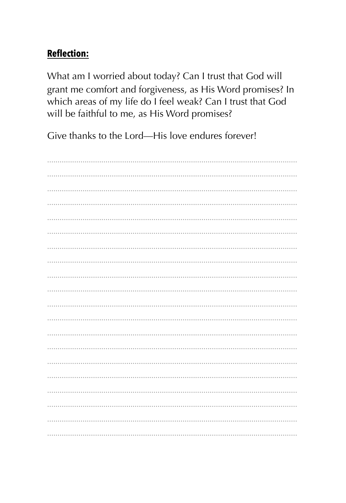What am I worried about today? Can I trust that God will grant me comfort and forgiveness, as His Word promises? In which areas of my life do I feel weak? Can I trust that God will be faithful to me, as His Word promises?

Give thanks to the Lord-His love endures forever!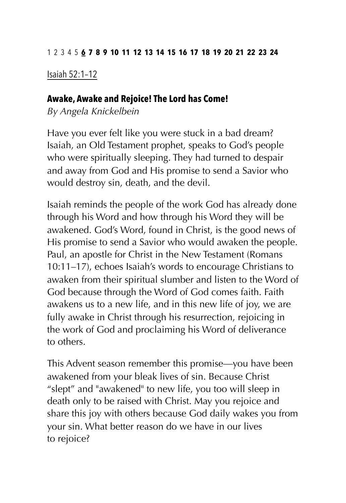Isaiah 52:1–12

#### **Awake, Awake and Rejoice! The Lord has Come!**

*By Angela Knickelbein* 

Have you ever felt like you were stuck in a bad dream? Isaiah, an Old Testament prophet, speaks to God's people who were spiritually sleeping. They had turned to despair and away from God and His promise to send a Savior who would destroy sin, death, and the devil.

Isaiah reminds the people of the work God has already done through his Word and how through his Word they will be awakened. God's Word, found in Christ, is the good news of His promise to send a Savior who would awaken the people. Paul, an apostle for Christ in the New Testament (Romans 10:11–17), echoes Isaiah's words to encourage Christians to awaken from their spiritual slumber and listen to the Word of God because through the Word of God comes faith. Faith awakens us to a new life, and in this new life of joy, we are fully awake in Christ through his resurrection, rejoicing in the work of God and proclaiming his Word of deliverance to others.

This Advent season remember this promise—you have been awakened from your bleak lives of sin. Because Christ "slept" and "awakened" to new life, you too will sleep in death only to be raised with Christ. May you rejoice and share this joy with others because God daily wakes you from your sin. What better reason do we have in our lives to rejoice?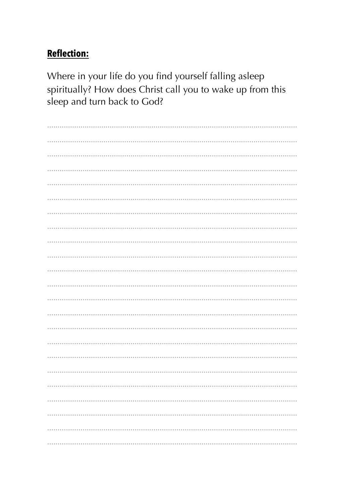Where in your life do you find yourself falling asleep spiritually? How does Christ call you to wake up from this sleep and turn back to God?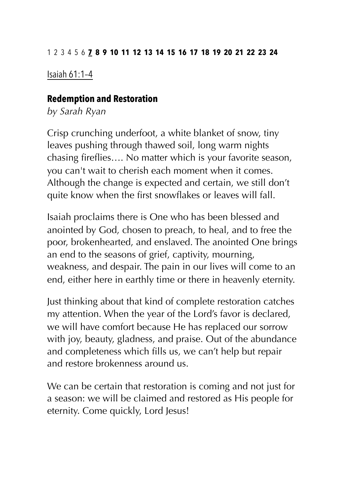#### 123456 **7 8 9 10 11 12 13 14 15 16 17 18 19 20 21 22 23 24**

Isaiah 61:1–4

#### **Redemption and Restoration**

*by Sarah Ryan* 

Crisp crunching underfoot, a white blanket of snow, tiny leaves pushing through thawed soil, long warm nights chasing fireflies…. No matter which is your favorite season, you can't wait to cherish each moment when it comes. Although the change is expected and certain, we still don't quite know when the first snowflakes or leaves will fall.

Isaiah proclaims there is One who has been blessed and anointed by God, chosen to preach, to heal, and to free the poor, brokenhearted, and enslaved. The anointed One brings an end to the seasons of grief, captivity, mourning, weakness, and despair. The pain in our lives will come to an end, either here in earthly time or there in heavenly eternity.

Just thinking about that kind of complete restoration catches my attention. When the year of the Lord's favor is declared, we will have comfort because He has replaced our sorrow with joy, beauty, gladness, and praise. Out of the abundance and completeness which fills us, we can't help but repair and restore brokenness around us.

We can be certain that restoration is coming and not just for a season: we will be claimed and restored as His people for eternity. Come quickly, Lord Jesus!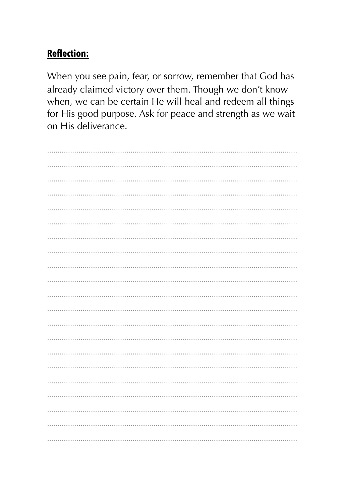When you see pain, fear, or sorrow, remember that God has already claimed victory over them. Though we don't know when, we can be certain He will heal and redeem all things for His good purpose. Ask for peace and strength as we wait on His deliverance.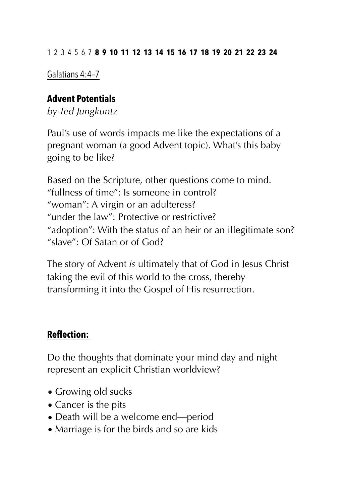#### 1234567 **8 9 10 11 12 13 14 15 16 17 18 19 20 21 22 23 24**

Galatians 4:4–7

#### **Advent Potentials**

*by Ted Jungkuntz* 

Paul's use of words impacts me like the expectations of a pregnant woman (a good Advent topic). What's this baby going to be like?

Based on the Scripture, other questions come to mind. "fullness of time": Is someone in control? "woman": A virgin or an adulteress? "under the law": Protective or restrictive? "adoption": With the status of an heir or an illegitimate son? "slave": Of Satan or of God?

The story of Advent *is* ultimately that of God in Jesus Christ taking the evil of this world to the cross, thereby transforming it into the Gospel of His resurrection.

# **Reflection:**

Do the thoughts that dominate your mind day and night represent an explicit Christian worldview?

- Growing old sucks
- Cancer is the pits
- Death will be a welcome end—period
- Marriage is for the birds and so are kids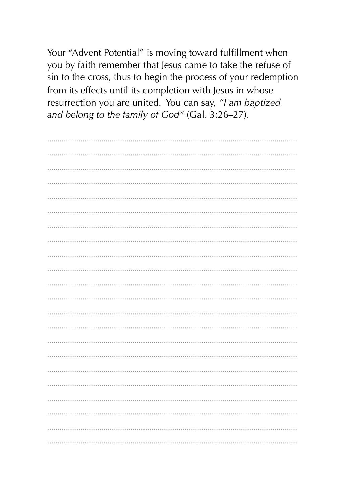Your "Advent Potential" is moving toward fulfillment when you by faith remember that Jesus came to take the refuse of sin to the cross, thus to begin the process of your redemption from its effects until its completion with Jesus in whose resurrection you are united. You can say, "I am baptized and belong to the family of God" (Gal. 3:26-27).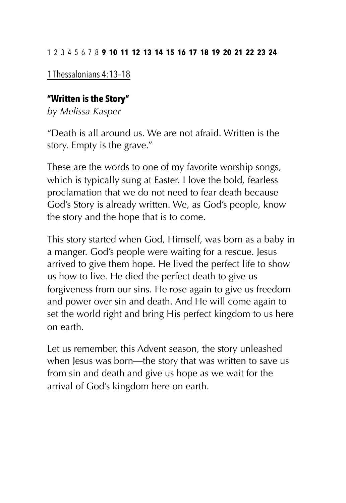#### 12345678 **9 10 11 12 13 14 15 16 17 18 19 20 21 22 23 24**

1 Thessalonians 4:13–18

#### **"Written is the Story"**

*by Melissa Kasper* 

"Death is all around us. We are not afraid. Written is the story. Empty is the grave."

These are the words to one of my favorite worship songs, which is typically sung at Easter. I love the bold, fearless proclamation that we do not need to fear death because God's Story is already written. We, as God's people, know the story and the hope that is to come.

This story started when God, Himself, was born as a baby in a manger. God's people were waiting for a rescue. Jesus arrived to give them hope. He lived the perfect life to show us how to live. He died the perfect death to give us forgiveness from our sins. He rose again to give us freedom and power over sin and death. And He will come again to set the world right and bring His perfect kingdom to us here on earth.

Let us remember, this Advent season, the story unleashed when Jesus was born—the story that was written to save us from sin and death and give us hope as we wait for the arrival of God's kingdom here on earth.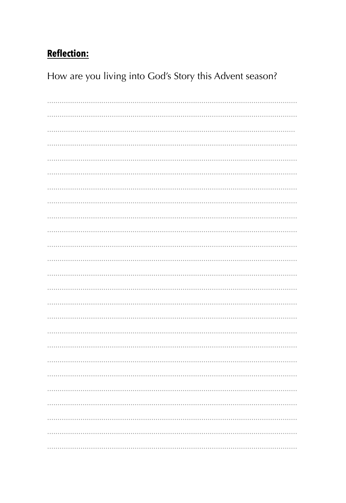How are you living into God's Story this Advent season?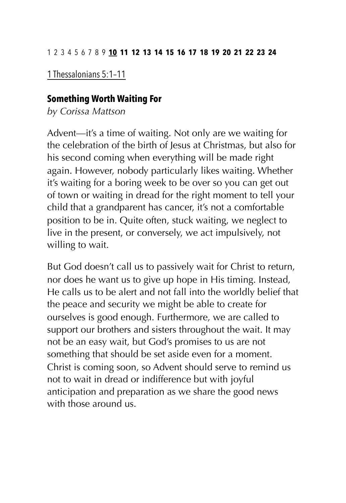1 Thessalonians 5:1–11

#### **Something Worth Waiting For**

*by Corissa Mattson* 

Advent—it's a time of waiting. Not only are we waiting for the celebration of the birth of Jesus at Christmas, but also for his second coming when everything will be made right again. However, nobody particularly likes waiting. Whether it's waiting for a boring week to be over so you can get out of town or waiting in dread for the right moment to tell your child that a grandparent has cancer, it's not a comfortable position to be in. Quite often, stuck waiting, we neglect to live in the present, or conversely, we act impulsively, not willing to wait.

But God doesn't call us to passively wait for Christ to return, nor does he want us to give up hope in His timing. Instead, He calls us to be alert and not fall into the worldly belief that the peace and security we might be able to create for ourselves is good enough. Furthermore, we are called to support our brothers and sisters throughout the wait. It may not be an easy wait, but God's promises to us are not something that should be set aside even for a moment. Christ is coming soon, so Advent should serve to remind us not to wait in dread or indifference but with joyful anticipation and preparation as we share the good news with those around us.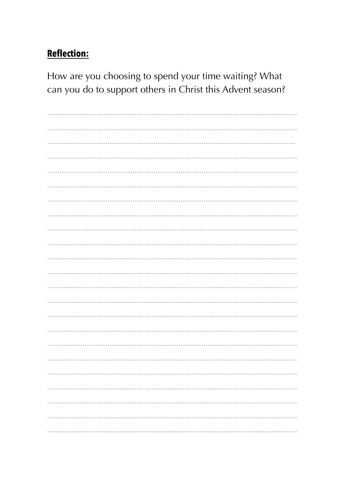How are you choosing to spend your time waiting? What can you do to support others in Christ this Advent season?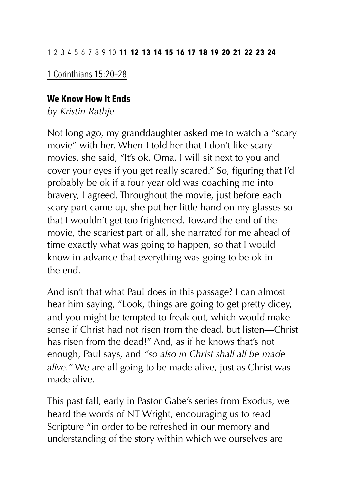#### 12345678910 **11 12 13 14 15 16 17 18 19 20 21 22 23 24**

#### 1 Corinthians 15:20–28

#### **We Know How It Ends**

*by Kristin Rathje* 

Not long ago, my granddaughter asked me to watch a "scary movie" with her. When I told her that I don't like scary movies, she said, "It's ok, Oma, I will sit next to you and cover your eyes if you get really scared." So, figuring that I'd probably be ok if a four year old was coaching me into bravery, I agreed. Throughout the movie, just before each scary part came up, she put her little hand on my glasses so that I wouldn't get too frightened. Toward the end of the movie, the scariest part of all, she narrated for me ahead of time exactly what was going to happen, so that I would know in advance that everything was going to be ok in the end.

And isn't that what Paul does in this passage? I can almost hear him saying, "Look, things are going to get pretty dicey, and you might be tempted to freak out, which would make sense if Christ had not risen from the dead, but listen—Christ has risen from the dead!" And, as if he knows that's not enough, Paul says, and *"so also in Christ shall all be made alive."* We are all going to be made alive, just as Christ was made alive.

This past fall, early in Pastor Gabe's series from Exodus, we heard the words of NT Wright, encouraging us to read Scripture "in order to be refreshed in our memory and understanding of the story within which we ourselves are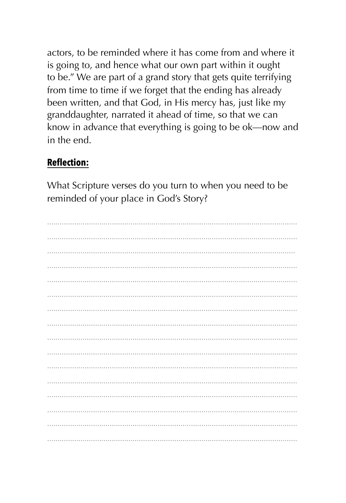actors, to be reminded where it has come from and where it is going to, and hence what our own part within it ought to be." We are part of a grand story that gets quite terrifying from time to time if we forget that the ending has already been written, and that God, in His mercy has, just like my granddaughter, narrated it ahead of time, so that we can know in advance that everything is going to be ok-now and in the end.

# **Reflection:**

What Scripture verses do you turn to when you need to be reminded of your place in God's Story?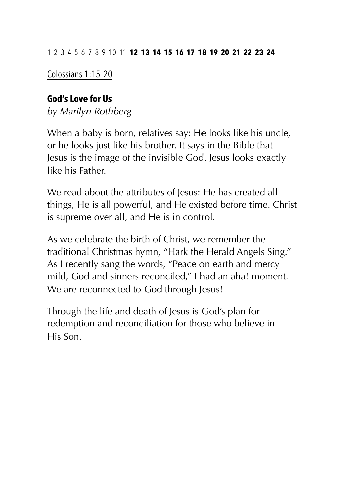Colossians 1:15–20

## **God's Love for Us**

*by Marilyn Rothberg* 

When a baby is born, relatives say: He looks like his uncle, or he looks just like his brother. It says in the Bible that Jesus is the image of the invisible God. Jesus looks exactly like his Father.

We read about the attributes of lesus: He has created all things, He is all powerful, and He existed before time. Christ is supreme over all, and He is in control.

As we celebrate the birth of Christ, we remember the traditional Christmas hymn, "Hark the Herald Angels Sing." As I recently sang the words, "Peace on earth and mercy mild, God and sinners reconciled," I had an aha! moment. We are reconnected to God through Jesus!

Through the life and death of Jesus is God's plan for redemption and reconciliation for those who believe in His Son.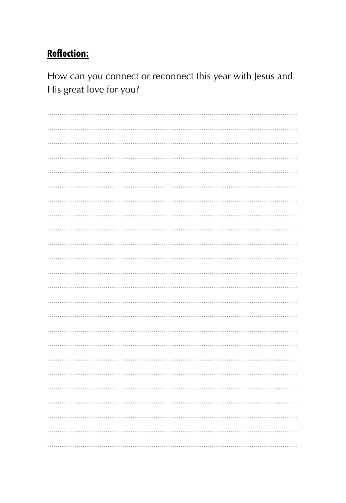How can you connect or reconnect this year with Jesus and His great love for you?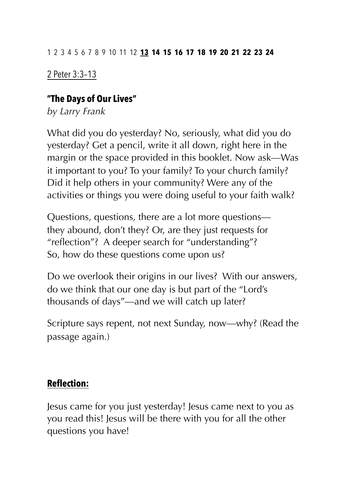# 2 Peter 3:3–13

### **"The Days of Our Lives"**

*by Larry Frank* 

What did you do yesterday? No, seriously, what did you do yesterday? Get a pencil, write it all down, right here in the margin or the space provided in this booklet. Now ask—Was it important to you? To your family? To your church family? Did it help others in your community? Were any of the activities or things you were doing useful to your faith walk?

Questions, questions, there are a lot more questions they abound, don't they? Or, are they just requests for "reflection"? A deeper search for "understanding"? So, how do these questions come upon us?

Do we overlook their origins in our lives? With our answers, do we think that our one day is but part of the "Lord's thousands of days"—and we will catch up later?

Scripture says repent, not next Sunday, now—why? (Read the passage again.)

### **Reflection:**

Jesus came for you just yesterday! Jesus came next to you as you read this! Jesus will be there with you for all the other questions you have!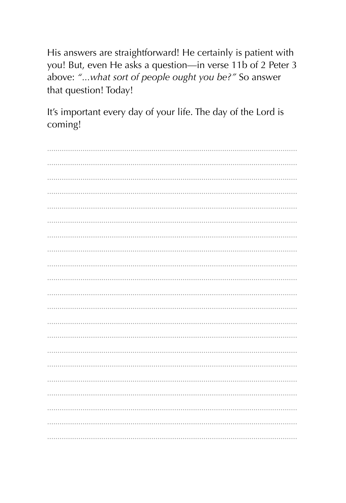His answers are straightforward! He certainly is patient with you! But, even He asks a question-in verse 11b of 2 Peter 3 above: "...what sort of people ought you be?" So answer that question! Today!

It's important every day of your life. The day of the Lord is coming!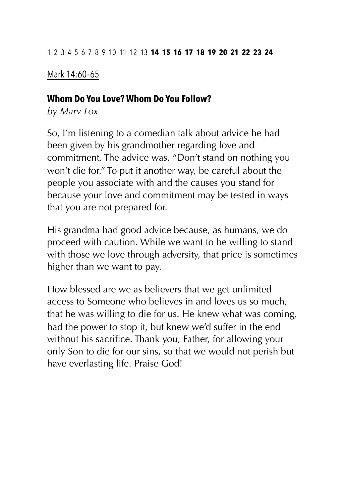## Mark 14:60–65

#### **Whom Do You Love? Whom Do You Follow?**

*by Marv Fox* 

So, I'm listening to a comedian talk about advice he had been given by his grandmother regarding love and commitment. The advice was, "Don't stand on nothing you won't die for." To put it another way, be careful about the people you associate with and the causes you stand for because your love and commitment may be tested in ways that you are not prepared for.

His grandma had good advice because, as humans, we do proceed with caution. While we want to be willing to stand with those we love through adversity, that price is sometimes higher than we want to pay.

How blessed are we as believers that we get unlimited access to Someone who believes in and loves us so much, that he was willing to die for us. He knew what was coming, had the power to stop it, but knew we'd suffer in the end without his sacrifice. Thank you, Father, for allowing your only Son to die for our sins, so that we would not perish but have everlasting life. Praise God!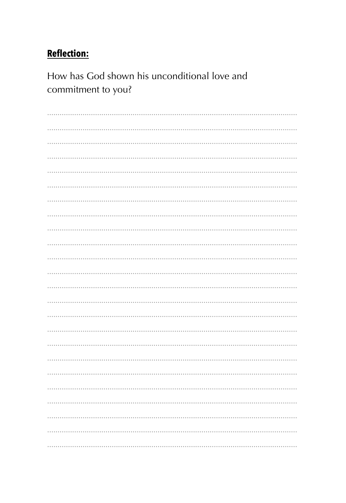How has God shown his unconditional love and commitment to you?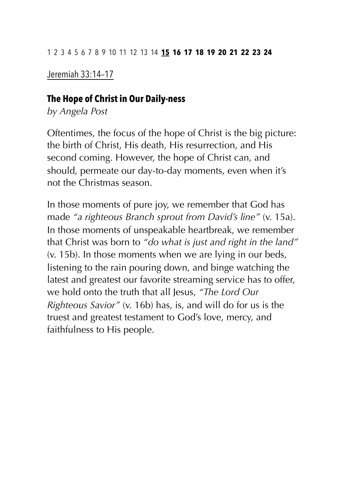Jeremiah 33:14–17

### **The Hope of Christ in Our Daily-ness**

*by Angela Post* 

Oftentimes, the focus of the hope of Christ is the big picture: the birth of Christ, His death, His resurrection, and His second coming. However, the hope of Christ can, and should, permeate our day-to-day moments, even when it's not the Christmas season.

In those moments of pure joy, we remember that God has made *"a righteous Branch sprout from David's line"* (v. 15a). In those moments of unspeakable heartbreak, we remember that Christ was born to *"do what is just and right in the land"*  (v. 15b). In those moments when we are lying in our beds, listening to the rain pouring down, and binge watching the latest and greatest our favorite streaming service has to offer, we hold onto the truth that all Jesus, *"The Lord Our Righteous Savior"* (v. 16b) has, is, and will do for us is the truest and greatest testament to God's love, mercy, and faithfulness to His people.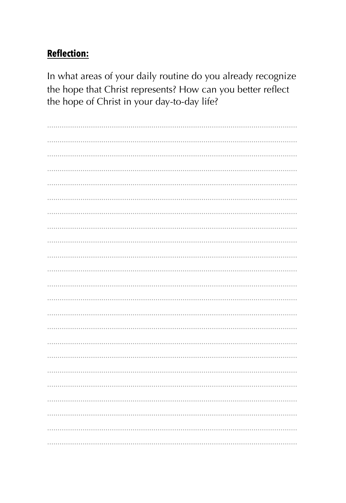In what areas of your daily routine do you already recognize the hope that Christ represents? How can you better reflect the hope of Christ in your day-to-day life?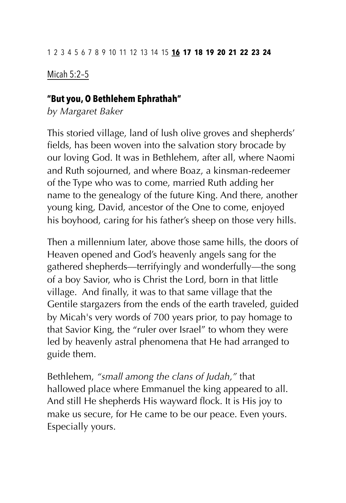Micah 5:2–5

#### **"But you, O Bethlehem Ephrathah"**

*by Margaret Baker* 

This storied village, land of lush olive groves and shepherds' fields, has been woven into the salvation story brocade by our loving God. It was in Bethlehem, after all, where Naomi and Ruth sojourned, and where Boaz, a kinsman-redeemer of the Type who was to come, married Ruth adding her name to the genealogy of the future King. And there, another young king, David, ancestor of the One to come, enjoyed his boyhood, caring for his father's sheep on those very hills.

Then a millennium later, above those same hills, the doors of Heaven opened and God's heavenly angels sang for the gathered shepherds—terrifyingly and wonderfully—the song of a boy Savior, who is Christ the Lord, born in that little village. And finally, it was to that same village that the Gentile stargazers from the ends of the earth traveled, guided by Micah's very words of 700 years prior, to pay homage to that Savior King, the "ruler over Israel" to whom they were led by heavenly astral phenomena that He had arranged to guide them.

Bethlehem, *"small among the clans of Judah,"* that hallowed place where Emmanuel the king appeared to all. And still He shepherds His wayward flock. It is His joy to make us secure, for He came to be our peace. Even yours. Especially yours.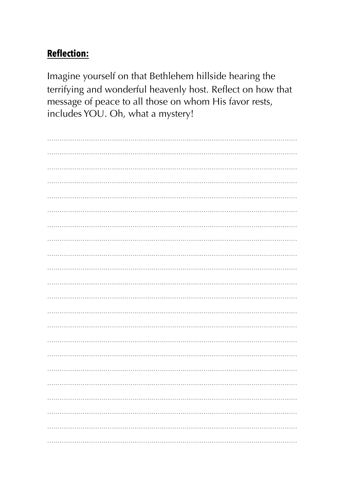Imagine yourself on that Bethlehem hillside hearing the terrifying and wonderful heavenly host. Reflect on how that message of peace to all those on whom His favor rests, includes YOU. Oh, what a mystery!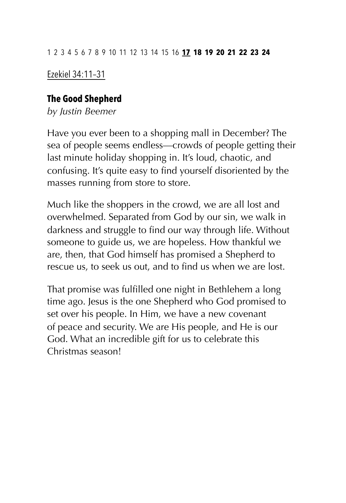# Ezekiel 34:11–31

### **The Good Shepherd**

*by Justin Beemer* 

Have you ever been to a shopping mall in December? The sea of people seems endless—crowds of people getting their last minute holiday shopping in. It's loud, chaotic, and confusing. It's quite easy to find yourself disoriented by the masses running from store to store.

Much like the shoppers in the crowd, we are all lost and overwhelmed. Separated from God by our sin, we walk in darkness and struggle to find our way through life. Without someone to guide us, we are hopeless. How thankful we are, then, that God himself has promised a Shepherd to rescue us, to seek us out, and to find us when we are lost.

That promise was fulfilled one night in Bethlehem a long time ago. Jesus is the one Shepherd who God promised to set over his people. In Him, we have a new covenant of peace and security. We are His people, and He is our God. What an incredible gift for us to celebrate this Christmas season!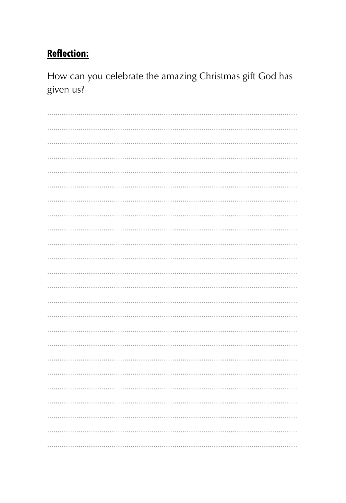How can you celebrate the amazing Christmas gift God has given us?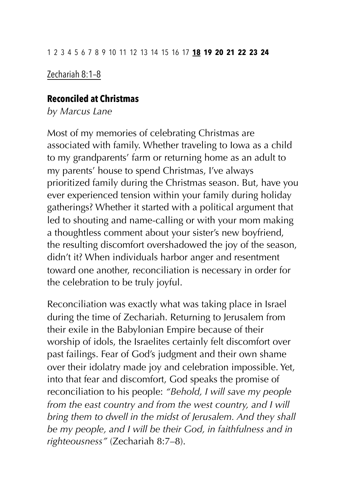## Zechariah 8:1–8

#### **Reconciled at Christmas**

*by Marcus Lane* 

Most of my memories of celebrating Christmas are associated with family. Whether traveling to Iowa as a child to my grandparents' farm or returning home as an adult to my parents' house to spend Christmas, I've always prioritized family during the Christmas season. But, have you ever experienced tension within your family during holiday gatherings? Whether it started with a political argument that led to shouting and name-calling or with your mom making a thoughtless comment about your sister's new boyfriend, the resulting discomfort overshadowed the joy of the season, didn't it? When individuals harbor anger and resentment toward one another, reconciliation is necessary in order for the celebration to be truly joyful.

Reconciliation was exactly what was taking place in Israel during the time of Zechariah. Returning to Jerusalem from their exile in the Babylonian Empire because of their worship of idols, the Israelites certainly felt discomfort over past failings. Fear of God's judgment and their own shame over their idolatry made joy and celebration impossible. Yet, into that fear and discomfort, God speaks the promise of reconciliation to his people: *"Behold, I will save my people from the east country and from the west country, and I will bring them to dwell in the midst of Jerusalem. And they shall be my people, and I will be their God, in faithfulness and in righteousness"* (Zechariah 8:7–8).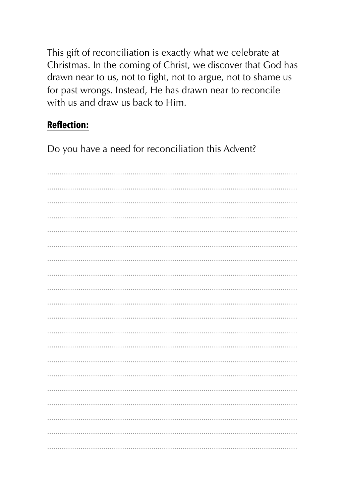This gift of reconciliation is exactly what we celebrate at Christmas. In the coming of Christ, we discover that God has drawn near to us, not to fight, not to argue, not to shame us for past wrongs. Instead, He has drawn near to reconcile with us and draw us back to Him.

# **Reflection:**

Do you have a need for reconciliation this Advent?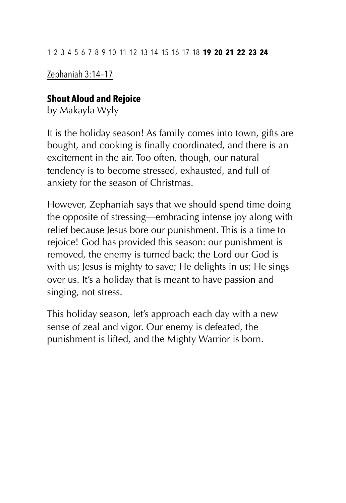Zephaniah 3:14–17

## **Shout Aloud and Rejoice**

by Makayla Wyly

It is the holiday season! As family comes into town, gifts are bought, and cooking is finally coordinated, and there is an excitement in the air. Too often, though, our natural tendency is to become stressed, exhausted, and full of anxiety for the season of Christmas.

However, Zephaniah says that we should spend time doing the opposite of stressing—embracing intense joy along with relief because Jesus bore our punishment. This is a time to rejoice! God has provided this season: our punishment is removed, the enemy is turned back; the Lord our God is with us; Jesus is mighty to save; He delights in us; He sings over us. It's a holiday that is meant to have passion and singing, not stress.

This holiday season, let's approach each day with a new sense of zeal and vigor. Our enemy is defeated, the punishment is lifted, and the Mighty Warrior is born.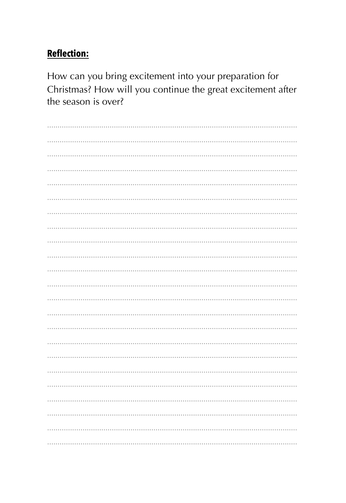How can you bring excitement into your preparation for Christmas? How will you continue the great excitement after the season is over?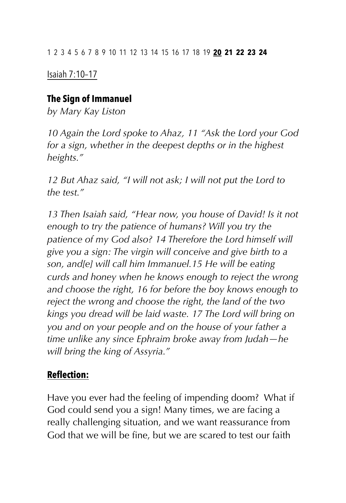Isaiah 7:10–17

### **The Sign of Immanuel**

*by Mary Kay Liston* 

*10 Again the Lord spoke to Ahaz, 11 "Ask the Lord your God for a sign, whether in the deepest depths or in the highest heights."* 

*12 But Ahaz said, "I will not ask; I will not put the Lord to the test."* 

*13 Then Isaiah said, "Hear now, you house of David! Is it not enough to try the patience of humans? Will you try the patience of my God also? 14 Therefore the Lord himself will give you a sign: The virgin will conceive and give birth to a son, and[e] will call him Immanuel.15 He will be eating curds and honey when he knows enough to reject the wrong and choose the right, 16 for before the boy knows enough to reject the wrong and choose the right, the land of the two kings you dread will be laid waste. 17 The Lord will bring on you and on your people and on the house of your father a time unlike any since Ephraim broke away from Judah—he will bring the king of Assyria."* 

# **Reflection:**

Have you ever had the feeling of impending doom? What if God could send you a sign! Many times, we are facing a really challenging situation, and we want reassurance from God that we will be fine, but we are scared to test our faith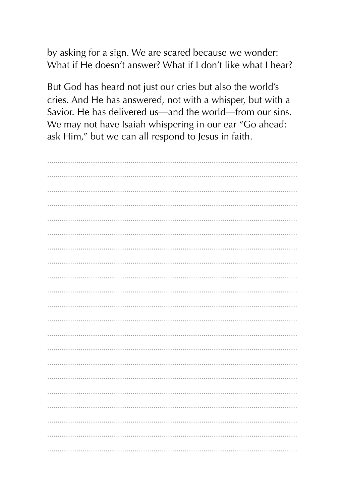by asking for a sign. We are scared because we wonder: What if He doesn't answer? What if I don't like what I hear?

But God has heard not just our cries but also the world's cries. And He has answered, not with a whisper, but with a Savior. He has delivered us—and the world—from our sins. We may not have Isaiah whispering in our ear "Go ahead: ask Him," but we can all respond to Jesus in faith.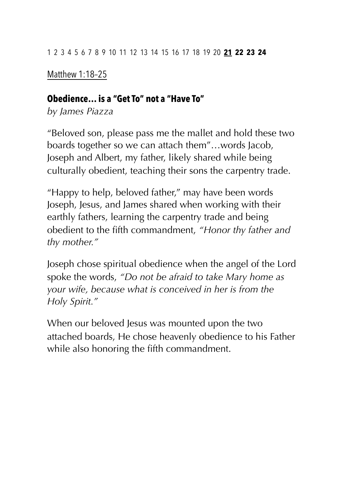## Matthew 1:18–25

### **Obedience… is a "Get To" not a "Have To"**

*by James Piazza* 

"Beloved son, please pass me the mallet and hold these two boards together so we can attach them"…words Jacob, Joseph and Albert, my father, likely shared while being culturally obedient, teaching their sons the carpentry trade.

"Happy to help, beloved father," may have been words Joseph, Jesus, and James shared when working with their earthly fathers, learning the carpentry trade and being obedient to the fifth commandment, *"Honor thy father and thy mother."*

Joseph chose spiritual obedience when the angel of the Lord spoke the words, *"Do not be afraid to take Mary home as your wife, because what is conceived in her is from the Holy Spirit."*

When our beloved Jesus was mounted upon the two attached boards, He chose heavenly obedience to his Father while also honoring the fifth commandment.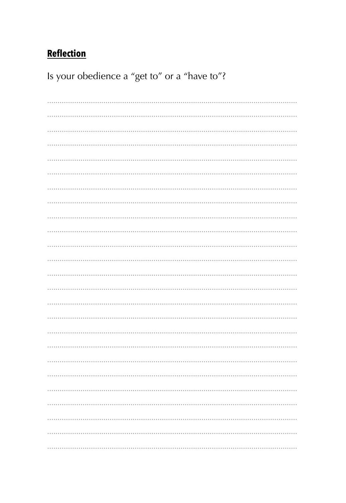Is your obedience a "get to" or a "have to"?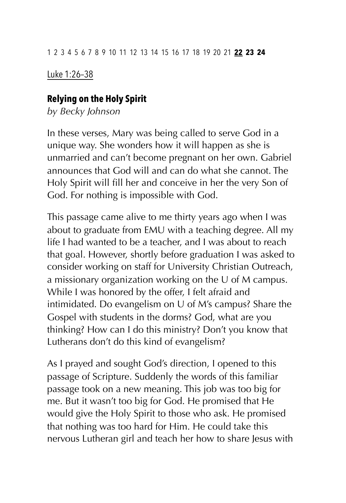Luke 1:26–38

### **Relying on the Holy Spirit**

*by Becky Johnson* 

In these verses, Mary was being called to serve God in a unique way. She wonders how it will happen as she is unmarried and can't become pregnant on her own. Gabriel announces that God will and can do what she cannot. The Holy Spirit will fill her and conceive in her the very Son of God. For nothing is impossible with God.

This passage came alive to me thirty years ago when I was about to graduate from EMU with a teaching degree. All my life I had wanted to be a teacher, and I was about to reach that goal. However, shortly before graduation I was asked to consider working on staff for University Christian Outreach, a missionary organization working on the U of M campus. While I was honored by the offer, I felt afraid and intimidated. Do evangelism on U of M's campus? Share the Gospel with students in the dorms? God, what are you thinking? How can I do this ministry? Don't you know that Lutherans don't do this kind of evangelism?

As I prayed and sought God's direction, I opened to this passage of Scripture. Suddenly the words of this familiar passage took on a new meaning. This job was too big for me. But it wasn't too big for God. He promised that He would give the Holy Spirit to those who ask. He promised that nothing was too hard for Him. He could take this nervous Lutheran girl and teach her how to share Jesus with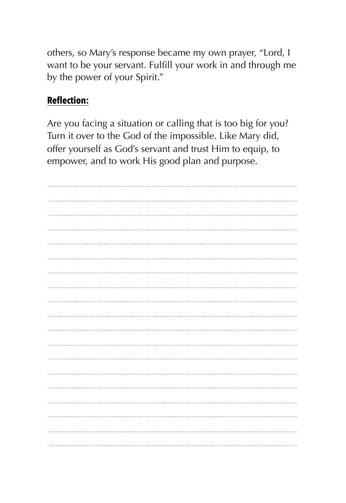others, so Mary's response became my own prayer, "Lord, I want to be your servant. Fulfill your work in and through me by the power of your Spirit."

### **Reflection:**

Are you facing a situation or calling that is too big for you? Turn it over to the God of the impossible. Like Mary did, offer yourself as God's servant and trust Him to equip, to empower, and to work His good plan and purpose.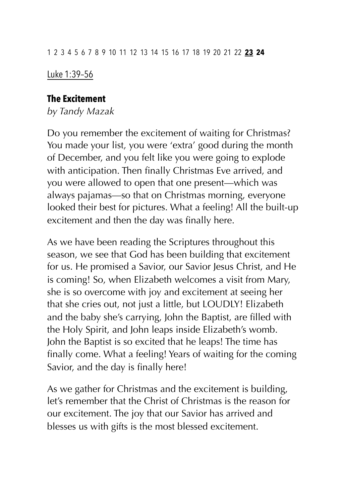Luke 1:39–56

### **The Excitement**

*by Tandy Mazak* 

Do you remember the excitement of waiting for Christmas? You made your list, you were 'extra' good during the month of December, and you felt like you were going to explode with anticipation. Then finally Christmas Eve arrived, and you were allowed to open that one present—which was always pajamas—so that on Christmas morning, everyone looked their best for pictures. What a feeling! All the built-up excitement and then the day was finally here.

As we have been reading the Scriptures throughout this season, we see that God has been building that excitement for us. He promised a Savior, our Savior Jesus Christ, and He is coming! So, when Elizabeth welcomes a visit from Mary, she is so overcome with joy and excitement at seeing her that she cries out, not just a little, but LOUDLY! Elizabeth and the baby she's carrying, John the Baptist, are filled with the Holy Spirit, and John leaps inside Elizabeth's womb. John the Baptist is so excited that he leaps! The time has finally come. What a feeling! Years of waiting for the coming Savior, and the day is finally here!

As we gather for Christmas and the excitement is building, let's remember that the Christ of Christmas is the reason for our excitement. The joy that our Savior has arrived and blesses us with gifts is the most blessed excitement.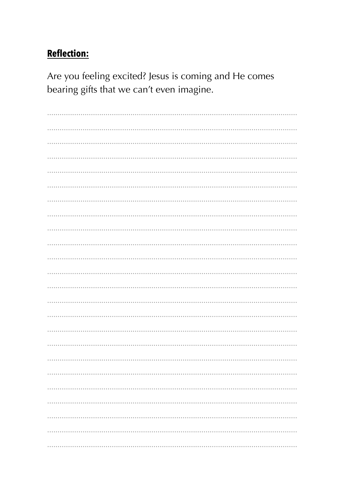Are you feeling excited? Jesus is coming and He comes bearing gifts that we can't even imagine.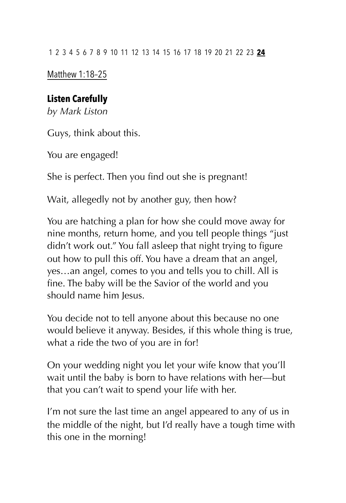Matthew 1:18–25

# **Listen Carefully**

*by Mark Liston* 

Guys, think about this.

You are engaged!

She is perfect. Then you find out she is pregnant!

Wait, allegedly not by another guy, then how?

You are hatching a plan for how she could move away for nine months, return home, and you tell people things "just didn't work out." You fall asleep that night trying to figure out how to pull this off. You have a dream that an angel, yes…an angel, comes to you and tells you to chill. All is fine. The baby will be the Savior of the world and you should name him Jesus.

You decide not to tell anyone about this because no one would believe it anyway. Besides, if this whole thing is true, what a ride the two of you are in for!

On your wedding night you let your wife know that you'll wait until the baby is born to have relations with her—but that you can't wait to spend your life with her.

I'm not sure the last time an angel appeared to any of us in the middle of the night, but I'd really have a tough time with this one in the morning!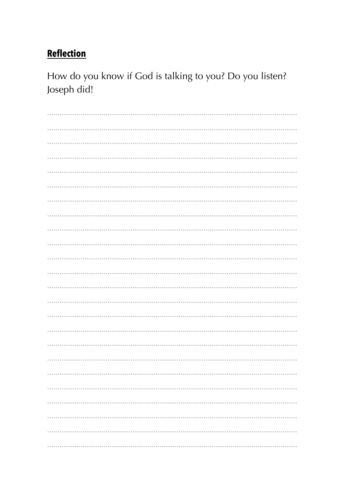How do you know if God is talking to you? Do you listen? Joseph did!